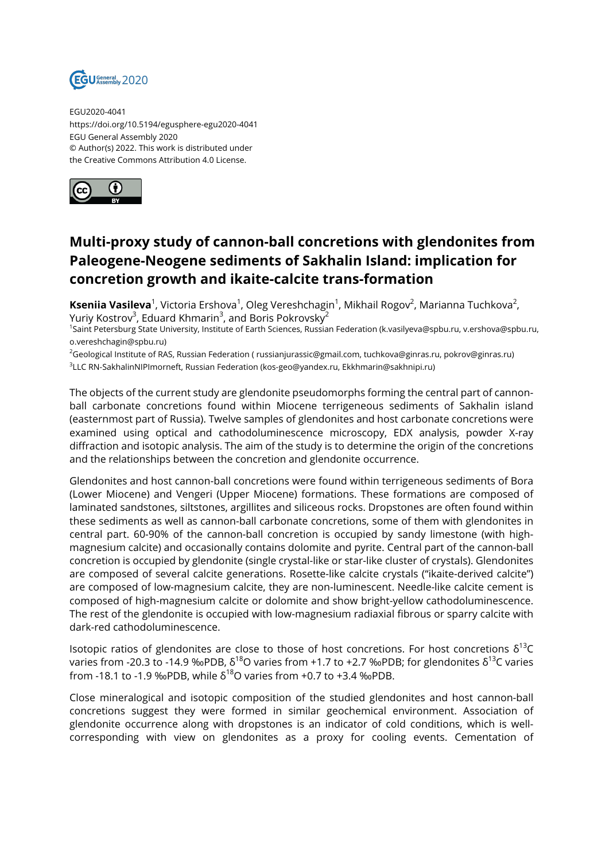

EGU2020-4041 https://doi.org/10.5194/egusphere-egu2020-4041 EGU General Assembly 2020 © Author(s) 2022. This work is distributed under the Creative Commons Attribution 4.0 License.



## **Multi-proxy study of cannon-ball concretions with glendonites from Paleogene-Neogene sediments of Sakhalin Island: implication for concretion growth and ikaite-calcite trans-formation**

**Kseniia Vasileva**<sup>1</sup>, Victoria Ershova<sup>1</sup>, Oleg Vereshchagin<sup>1</sup>, Mikhail Rogov<sup>2</sup>, Marianna Tuchkova<sup>2</sup>, Yuriy Kostrov $^3$ , Eduard Khmarin $^3$ , and Boris Pokrovsky $^2$ 

1 Saint Petersburg State University, Institute of Earth Sciences, Russian Federation (k.vasilyeva@spbu.ru, v.ershova@spbu.ru, o.vereshchagin@spbu.ru)

<sup>2</sup>Geological Institute of RAS, Russian Federation ( russianjurassic@gmail.com, tuchkova@ginras.ru, pokrov@ginras.ru) 3 LLC RN-SakhalinNIPImorneft, Russian Federation (kos-geo@yandex.ru, Ekkhmarin@sakhnipi.ru)

The objects of the current study are glendonite pseudomorphs forming the central part of cannonball carbonate concretions found within Miocene terrigeneous sediments of Sakhalin island (easternmost part of Russia). Twelve samples of glendonites and host carbonate concretions were examined using optical and cathodoluminescence microscopy, EDX analysis, powder X-ray diffraction and isotopic analysis. The aim of the study is to determine the origin of the concretions and the relationships between the concretion and glendonite occurrence.

Glendonites and host cannon-ball concretions were found within terrigeneous sediments of Bora (Lower Miocene) and Vengeri (Upper Miocene) formations. These formations are composed of laminated sandstones, siltstones, argillites and siliceous rocks. Dropstones are often found within these sediments as well as cannon-ball carbonate concretions, some of them with glendonites in central part. 60-90% of the cannon-ball concretion is occupied by sandy limestone (with highmagnesium calcite) and occasionally contains dolomite and pyrite. Central part of the cannon-ball concretion is occupied by glendonite (single crystal-like or star-like cluster of crystals). Glendonites are composed of several calcite generations. Rosette-like calcite crystals ("ikaite-derived calcite") are composed of low-magnesium calcite, they are non-luminescent. Needle-like calcite cement is composed of high-magnesium calcite or dolomite and show bright-yellow cathodoluminescence. The rest of the glendonite is occupied with low-magnesium radiaxial fibrous or sparry calcite with dark-red cathodoluminescence.

Isotopic ratios of glendonites are close to those of host concretions. For host concretions  $\delta^{13}C$ varies from -20.3 to -14.9 ‰PDB,  $\delta^{18}$ O varies from +1.7 to +2.7 ‰PDB; for glendonites  $\delta^{13}$ C varies from -18.1 to -1.9 ‰PDB, while  $\delta^{18}$ O varies from +0.7 to +3.4 ‰PDB.

Close mineralogical and isotopic composition of the studied glendonites and host cannon-ball concretions suggest they were formed in similar geochemical environment. Association of glendonite occurrence along with dropstones is an indicator of cold conditions, which is wellcorresponding with view on glendonites as a proxy for cooling events. Cementation of